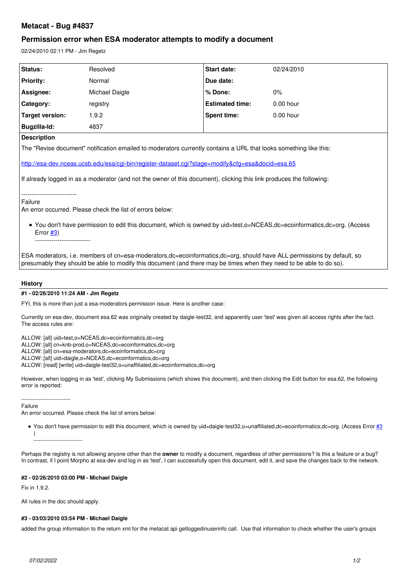# **Metacat - Bug #4837**

## **Permission error when ESA moderator attempts to modify a document**

02/24/2010 02:11 PM - Jim Regetz

| <b>Status:</b>   | Resolved       | <b>Start date:</b>     | 02/24/2010  |
|------------------|----------------|------------------------|-------------|
| <b>Priority:</b> | Normal         | Due date:              |             |
| Assignee:        | Michael Daigle | % Done:                | $0\%$       |
| Category:        | registry       | <b>Estimated time:</b> | $0.00$ hour |
| Target version:  | .9.2           | Spent time:            | $0.00$ hour |
| Bugzilla-Id:     | 4837           |                        |             |

**Description**

The "Revise document" notification emailed to moderators currently contains a URL that looks something like this:

<http://esa-dev.nceas.ucsb.edu/esa/cgi-bin/register-dataset.cgi?stage=modify&cfg=esa&docid=esa.65>

If already logged in as a moderator (and not the owner of this document), clicking this link produces the following:

--------------------------- Failure

An error occurred. Please check the list of errors below:

You don't have permission to edit this document, which is owned by uid=test,o=NCEAS,dc=ecoinformatics,dc=org. (Access Error  $#3)$ 

---------------------------

ESA moderators, i.e. members of cn=esa-moderators,dc=ecoinformatics,dc=org, should have ALL permissions by default, so presumably they should be able to modify this document (and there may be times when they need to be able to do so).

#### **History**

#### **#1 - 02/26/2010 11:24 AM - Jim Regetz**

FYI, this is more than just a esa-moderators permission issue. Here is another case:

Currently on esa-dev, document esa.62 was originally created by daigle-test32, and apparently user 'test' was given all access rights after the fact. The access rules are:

ALLOW: [all] uid=test,o=NCEAS,dc=ecoinformatics,dc=org ALLOW: [all] cn=knb-prod,o=NCEAS,dc=ecoinformatics,dc=org

ALLOW: [all] cn=esa-moderators,dc=ecoinformatics,dc=org

ALLOW: [all] uid=daigle,o=NCEAS,dc=ecoinformatics,dc=org

ALLOW: [read] [write] uid=daigle-test32,o=unaffiliated,dc=ecoinformatics,dc=org

However, when logging in as 'test', clicking My Submissions (which shows this document), and then clicking the Edit button for esa.62, the following error is reported:

---------------------------

Failure

An error occurred. Please check the list of errors below:

● You don't have permission to edit this document, which is owned by uid=daigle-test32,o=unaffiliated,dc=ecoinformatics,dc=org. (Access Error [#3](https://projects.ecoinformatics.org/ecoinfo/issues/3) )

---------------------------

Perhaps the registry is not allowing anyone other than the **owner** to modify a document, regardless of other permissions? Is this a feature or a bug? In contrast, if I point Morpho at esa-dev and log in as 'test', I can successfully open this document, edit it, and save the changes back to the network.

#### **#2 - 02/26/2010 03:00 PM - Michael Daigle**

Fix in 1.9.2.

All rules in the doc should apply.

### **#3 - 03/03/2010 03:54 PM - Michael Daigle**

added the group information to the return xml for the metacat api getloggedinuserinfo call. Use that information to check whether the user's groups